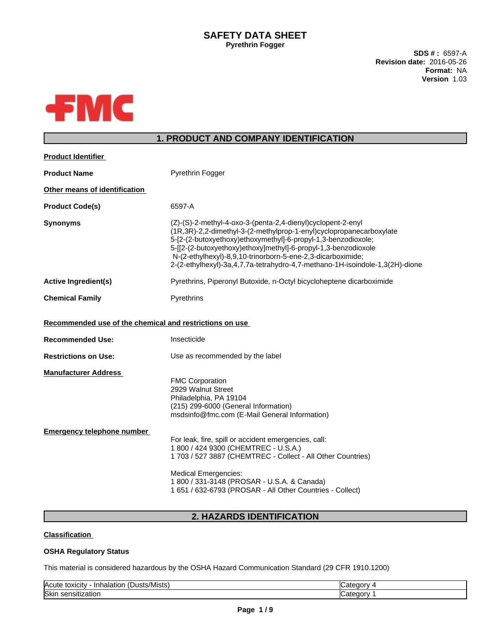## **SAFETY DATA SHEET Pyrethrin Fogger**

**SDS # :** 6597-A **Revision date:** 2016-05-26 **Format:** NA **Version** 1.03



# **1. PRODUCT AND COMPANY IDENTIFICATION**

| <b>Product Identifier</b>                               |                                                                                                                                                                                                                                                                                                                                                                                                                      |  |  |
|---------------------------------------------------------|----------------------------------------------------------------------------------------------------------------------------------------------------------------------------------------------------------------------------------------------------------------------------------------------------------------------------------------------------------------------------------------------------------------------|--|--|
| <b>Product Name</b>                                     | <b>Pyrethrin Fogger</b>                                                                                                                                                                                                                                                                                                                                                                                              |  |  |
| Other means of identification                           |                                                                                                                                                                                                                                                                                                                                                                                                                      |  |  |
| <b>Product Code(s)</b>                                  | 6597-A                                                                                                                                                                                                                                                                                                                                                                                                               |  |  |
| <b>Synonyms</b>                                         | (Z)-(S)-2-methyl-4-oxo-3-(penta-2,4-dienyl)cyclopent-2-enyl<br>(1R,3R)-2,2-dimethyl-3-(2-methylprop-1-enyl)cyclopropanecarboxylate<br>5-[2-(2-butoxyethoxy)ethoxymethyl]-6-propyl-1,3-benzodioxole;<br>5-[[2-(2-butoxyethoxy)ethoxy]methyl]-6-propyl-1,3-benzodioxole<br>N-(2-ethylhexyl)-8,9,10-trinorborn-5-ene-2,3-dicarboximide;<br>2-(2-ethylhexyl)-3a,4,7,7a-tetrahydro-4,7-methano-1H-isoindole-1,3(2H)-dione |  |  |
| <b>Active Ingredient(s)</b>                             | Pyrethrins, Piperonyl Butoxide, n-Octyl bicycloheptene dicarboximide                                                                                                                                                                                                                                                                                                                                                 |  |  |
| <b>Chemical Family</b>                                  | Pyrethrins                                                                                                                                                                                                                                                                                                                                                                                                           |  |  |
| Recommended use of the chemical and restrictions on use |                                                                                                                                                                                                                                                                                                                                                                                                                      |  |  |
| <b>Recommended Use:</b>                                 | Insecticide                                                                                                                                                                                                                                                                                                                                                                                                          |  |  |
| <b>Restrictions on Use:</b>                             | Use as recommended by the label                                                                                                                                                                                                                                                                                                                                                                                      |  |  |
| <b>Manufacturer Address</b>                             | <b>FMC Corporation</b><br>2929 Walnut Street<br>Philadelphia, PA 19104<br>(215) 299-6000 (General Information)                                                                                                                                                                                                                                                                                                       |  |  |
|                                                         | msdsinfo@fmc.com (E-Mail General Information)                                                                                                                                                                                                                                                                                                                                                                        |  |  |
| <b>Emergency telephone number</b>                       | For leak, fire, spill or accident emergencies, call:<br>1 800 / 424 9300 (CHEMTREC - U.S.A.)<br>1 703 / 527 3887 (CHEMTREC - Collect - All Other Countries)<br><b>Medical Emergencies:</b>                                                                                                                                                                                                                           |  |  |

# **2. HAZARDS IDENTIFICATION**

## **Classification**

## **OSHA Regulatory Status**

This material is considered hazardous by the OSHA Hazard Communication Standard (29 CFR 1910.1200)

| $\cdot$ $\cdot$<br><b>Acute</b><br>(Dusts/Mists)<br>toxicity<br>Inhalation | ″ ategor∨ب        |
|----------------------------------------------------------------------------|-------------------|
| <b>Skin</b><br><br>sensitization v                                         | . .<br>″ atedory۔ |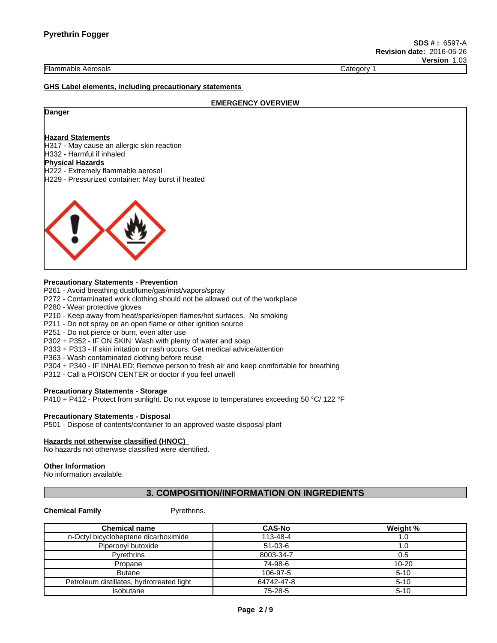Flammable Aerosols Category 1

#### **GHS Label elements, including precautionary statements**

#### **EMERGENCY OVERVIEW**

#### **Danger**

#### **Hazard Statements**

H317 - May cause an allergic skin reaction H332 - Harmful if inhaled **Physical Hazards** H222 - Extremely flammable aerosol

H229 - Pressurized container: May burst if heated



#### **Precautionary Statements - Prevention**

P261 - Avoid breathing dust/fume/gas/mist/vapors/spray

- P272 Contaminated work clothing should not be allowed out of the workplace
- P280 Wear protective gloves

P210 - Keep away from heat/sparks/open flames/hot surfaces. No smoking

P211 - Do not spray on an open flame or other ignition source

P251 - Do not pierce or burn, even after use

P302 + P352 - IF ON SKIN: Wash with plenty of water and soap

P333 + P313 - If skin irritation or rash occurs: Get medical advice/attention

P363 - Wash contaminated clothing before reuse

P304 + P340 - IF INHALED: Remove person to fresh air and keep comfortable for breathing

P312 - Call a POISON CENTER or doctor if you feel unwell

#### **Precautionary Statements - Storage**

P410 + P412 - Protect from sunlight. Do not expose to temperatures exceeding 50 °C/ 122 °F

#### **Precautionary Statements - Disposal**

P501 - Dispose of contents/container to an approved waste disposal plant

#### **Hazards not otherwise classified (HNOC)**

No hazards not otherwise classified were identified.

#### **Other Information**

No information available.

## **3. COMPOSITION/INFORMATION ON INGREDIENTS**

#### **Chemical Family Pyrethrins.**

| <b>Chemical name</b>                      | <b>CAS-No</b> | Weight %  |
|-------------------------------------------|---------------|-----------|
| n-Octyl bicycloheptene dicarboximide      | 113-48-4      | 1.0       |
| Piperonyl butoxide                        | $51-03-6$     | . 0. ،    |
| <b>Pyrethrins</b>                         | 8003-34-7     | 0.5       |
| Propane                                   | 74-98-6       | $10 - 20$ |
| <b>Butane</b>                             | 106-97-5      | $5 - 10$  |
| Petroleum distillates, hydrotreated light | 64742-47-8    | $5 - 10$  |
| Isobutane                                 | 75-28-5       | $5 - 10$  |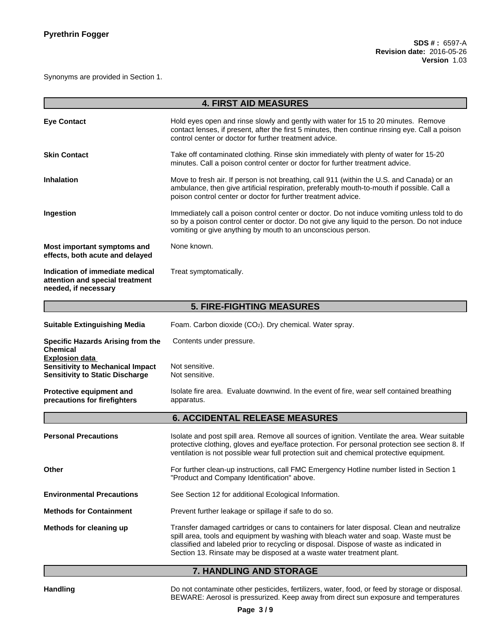Synonyms are provided in Section 1.

|                                                                                                            | <b>4. FIRST AID MEASURES</b>                                                                                                                                                                                                                                                                                                                           |  |  |  |
|------------------------------------------------------------------------------------------------------------|--------------------------------------------------------------------------------------------------------------------------------------------------------------------------------------------------------------------------------------------------------------------------------------------------------------------------------------------------------|--|--|--|
| <b>Eye Contact</b>                                                                                         | Hold eyes open and rinse slowly and gently with water for 15 to 20 minutes. Remove<br>contact lenses, if present, after the first 5 minutes, then continue rinsing eye. Call a poison<br>control center or doctor for further treatment advice.                                                                                                        |  |  |  |
| <b>Skin Contact</b>                                                                                        | Take off contaminated clothing. Rinse skin immediately with plenty of water for 15-20<br>minutes. Call a poison control center or doctor for further treatment advice.                                                                                                                                                                                 |  |  |  |
| <b>Inhalation</b>                                                                                          | Move to fresh air. If person is not breathing, call 911 (within the U.S. and Canada) or an<br>ambulance, then give artificial respiration, preferably mouth-to-mouth if possible. Call a<br>poison control center or doctor for further treatment advice.                                                                                              |  |  |  |
| Ingestion                                                                                                  | Immediately call a poison control center or doctor. Do not induce vomiting unless told to do<br>so by a poison control center or doctor. Do not give any liquid to the person. Do not induce<br>vomiting or give anything by mouth to an unconscious person.                                                                                           |  |  |  |
| Most important symptoms and<br>effects, both acute and delayed                                             | None known.                                                                                                                                                                                                                                                                                                                                            |  |  |  |
| Indication of immediate medical<br>attention and special treatment<br>needed, if necessary                 | Treat symptomatically.                                                                                                                                                                                                                                                                                                                                 |  |  |  |
|                                                                                                            | <b>5. FIRE-FIGHTING MEASURES</b>                                                                                                                                                                                                                                                                                                                       |  |  |  |
| <b>Suitable Extinguishing Media</b>                                                                        | Foam. Carbon dioxide (CO <sub>2</sub> ). Dry chemical. Water spray.                                                                                                                                                                                                                                                                                    |  |  |  |
| <b>Specific Hazards Arising from the</b><br><b>Chemical</b>                                                | Contents under pressure.                                                                                                                                                                                                                                                                                                                               |  |  |  |
| <b>Explosion data</b><br><b>Sensitivity to Mechanical Impact</b><br><b>Sensitivity to Static Discharge</b> | Not sensitive.<br>Not sensitive.                                                                                                                                                                                                                                                                                                                       |  |  |  |
| Protective equipment and<br>precautions for firefighters                                                   | Isolate fire area. Evaluate downwind. In the event of fire, wear self contained breathing<br>apparatus.                                                                                                                                                                                                                                                |  |  |  |
|                                                                                                            | <b>6. ACCIDENTAL RELEASE MEASURES</b>                                                                                                                                                                                                                                                                                                                  |  |  |  |
| <b>Personal Precautions</b>                                                                                | Isolate and post spill area. Remove all sources of ignition. Ventilate the area. Wear suitable<br>protective clothing, gloves and eye/face protection. For personal protection see section 8. If<br>ventilation is not possible wear full protection suit and chemical protective equipment.                                                           |  |  |  |
| Other                                                                                                      | For further clean-up instructions, call FMC Emergency Hotline number listed in Section 1<br>"Product and Company Identification" above.                                                                                                                                                                                                                |  |  |  |
| <b>Environmental Precautions</b>                                                                           | See Section 12 for additional Ecological Information.                                                                                                                                                                                                                                                                                                  |  |  |  |
| <b>Methods for Containment</b>                                                                             | Prevent further leakage or spillage if safe to do so.                                                                                                                                                                                                                                                                                                  |  |  |  |
| Methods for cleaning up                                                                                    | Transfer damaged cartridges or cans to containers for later disposal. Clean and neutralize<br>spill area, tools and equipment by washing with bleach water and soap. Waste must be<br>classified and labeled prior to recycling or disposal. Dispose of waste as indicated in<br>Section 13. Rinsate may be disposed at a waste water treatment plant. |  |  |  |

# **7. HANDLING AND STORAGE**

Handling **Handling** Do not contaminate other pesticides, fertilizers, water, food, or feed by storage or disposal.<br>BEWARE: Aerosol is pressurized. Keep away from direct sun exposure and temperatures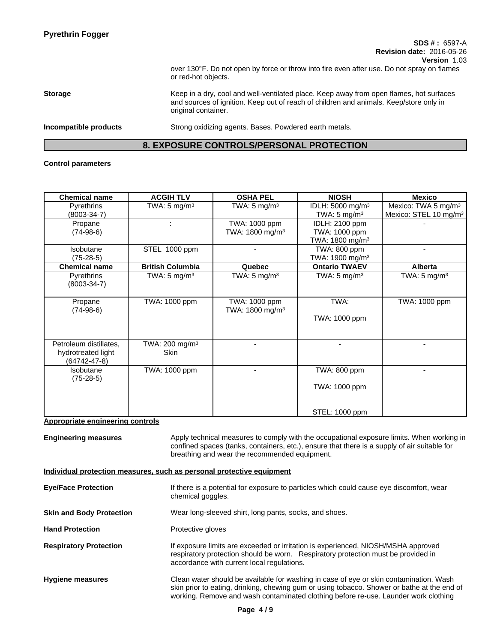over 130°F. Do not open by force or throw into fire even after use. Do not spray on flames or red-hot objects.

**Storage** Keep in a dry, cool and well-ventilated place. Keep away from open flames, hot surfaces and sources of ignition. Keep out of reach of children and animals. Keep/store only in original container.

**Incompatible products** Strong oxidizing agents. Bases. Powdered earth metals.

## **8. EXPOSURE CONTROLS/PERSONAL PROTECTION**

## **Control parameters**

| <b>Chemical name</b>                     | <b>ACGIH TLV</b>           | <b>OSHA PEL</b>             | <b>NIOSH</b>                 | <b>Mexico</b>                     |
|------------------------------------------|----------------------------|-----------------------------|------------------------------|-----------------------------------|
| <b>Pyrethrins</b>                        | TWA: 5 mg/m <sup>3</sup>   | TWA: $5 \text{ mg/m}^3$     | IDLH: 5000 mg/m <sup>3</sup> | Mexico: TWA 5 mg/m <sup>3</sup>   |
| $(8003 - 34 - 7)$                        |                            |                             | TWA: $5 \text{ mg/m}^3$      | Mexico: STEL 10 mg/m <sup>3</sup> |
| Propane                                  |                            | TWA: 1000 ppm               | IDLH: 2100 ppm               |                                   |
| $(74-98-6)$                              |                            | TWA: 1800 mg/m <sup>3</sup> | TWA: 1000 ppm                |                                   |
|                                          |                            |                             | TWA: 1800 mg/m <sup>3</sup>  |                                   |
| Isobutane                                | STEL 1000 ppm              |                             | TWA: 800 ppm                 |                                   |
| (75-28-5)                                |                            |                             | TWA: 1900 mg/m <sup>3</sup>  |                                   |
| <b>Chemical name</b>                     | <b>British Columbia</b>    | Quebec                      | <b>Ontario TWAEV</b>         | Alberta                           |
| Pyrethrins<br>$(8003 - 34 - 7)$          | TWA: $5 \text{ mg/m}^3$    | TWA: 5 mg/m <sup>3</sup>    | TWA: 5 mg/m <sup>3</sup>     | TWA: 5 mg/m <sup>3</sup>          |
| Propane                                  | TWA: 1000 ppm              | TWA: 1000 ppm               | TWA:                         | TWA: 1000 ppm                     |
| $(74-98-6)$                              |                            | TWA: 1800 mg/m <sup>3</sup> |                              |                                   |
|                                          |                            |                             | TWA: 1000 ppm                |                                   |
| Petroleum distillates,                   | TWA: 200 mg/m <sup>3</sup> |                             |                              |                                   |
| hydrotreated light<br>$(64742 - 47 - 8)$ | Skin                       |                             |                              |                                   |
| <b>Isobutane</b><br>$(75-28-5)$          | TWA: 1000 ppm              |                             | TWA: 800 ppm                 |                                   |
|                                          |                            |                             | TWA: 1000 ppm                |                                   |
|                                          |                            |                             | STEL: 1000 ppm               |                                   |

## **Appropriate engineering controls**

**Engineering measures** Apply technical measures to comply with the occupational exposure limits. When working in confined spaces (tanks, containers, etc.), ensure that there is a supply of air suitable for breathing and wear the recommended equipment.

## **Individual protection measures, such as personal protective equipment**

| <b>Eye/Face Protection</b>      | If there is a potential for exposure to particles which could cause eye discomfort, wear<br>chemical goggles.                                                                                                                                                                |  |
|---------------------------------|------------------------------------------------------------------------------------------------------------------------------------------------------------------------------------------------------------------------------------------------------------------------------|--|
| <b>Skin and Body Protection</b> | Wear long-sleeved shirt, long pants, socks, and shoes.                                                                                                                                                                                                                       |  |
| <b>Hand Protection</b>          | Protective gloves                                                                                                                                                                                                                                                            |  |
| <b>Respiratory Protection</b>   | If exposure limits are exceeded or irritation is experienced, NIOSH/MSHA approved<br>respiratory protection should be worn. Respiratory protection must be provided in<br>accordance with current local regulations.                                                         |  |
| <b>Hygiene measures</b>         | Clean water should be available for washing in case of eye or skin contamination. Wash<br>skin prior to eating, drinking, chewing gum or using tobacco. Shower or bathe at the end of<br>working. Remove and wash contaminated clothing before re-use. Launder work clothing |  |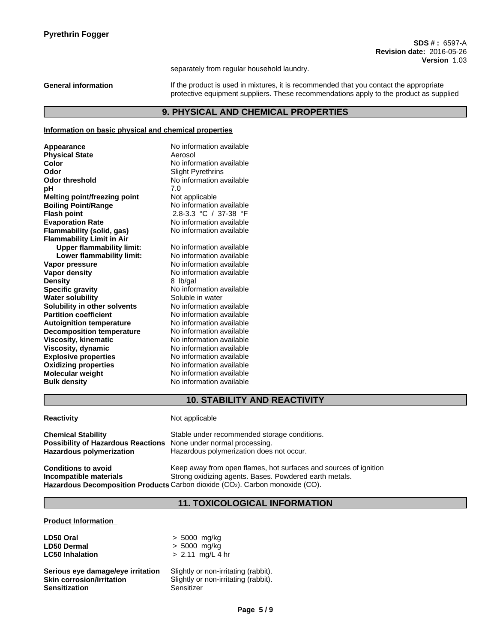separately from regular household laundry.

General information **If the product is used in mixtures**, it is recommended that you contact the appropriate protective equipment suppliers. These recommendations apply to the product as supplied

## **9. PHYSICAL AND CHEMICAL PROPERTIES**

## **Information on basic physical and chemical properties**

| Appearance                          | No information available |
|-------------------------------------|--------------------------|
| <b>Physical State</b>               | Aerosol                  |
| Color                               | No information available |
| Odor                                | <b>Slight Pyrethrins</b> |
| <b>Odor threshold</b>               | No information available |
| рH                                  | 7.0                      |
| <b>Melting point/freezing point</b> | Not applicable           |
| <b>Boiling Point/Range</b>          | No information available |
| <b>Flash point</b>                  | 2.8-3.3 °C / 37-38 °F    |
| <b>Evaporation Rate</b>             | No information available |
| Flammability (solid, gas)           | No information available |
| <b>Flammability Limit in Air</b>    |                          |
| <b>Upper flammability limit:</b>    | No information available |
| Lower flammability limit:           | No information available |
| Vapor pressure                      | No information available |
| Vapor density                       | No information available |
| <b>Density</b>                      | 8 lb/gal                 |
| <b>Specific gravity</b>             | No information available |
| <b>Water solubility</b>             | Soluble in water         |
| Solubility in other solvents        | No information available |
| <b>Partition coefficient</b>        | No information available |
| <b>Autoignition temperature</b>     | No information available |
| <b>Decomposition temperature</b>    | No information available |
| <b>Viscosity, kinematic</b>         | No information available |
| Viscosity, dynamic                  | No information available |
| <b>Explosive properties</b>         | No information available |
| <b>Oxidizing properties</b>         | No information available |
| Molecular weight                    | No information available |
| <b>Bulk density</b>                 | No information available |
|                                     |                          |

## **10. STABILITY AND REACTIVITY**

| <b>Reactivity</b>                                                                                  | Not applicable                                                                                                                                                                                             |
|----------------------------------------------------------------------------------------------------|------------------------------------------------------------------------------------------------------------------------------------------------------------------------------------------------------------|
| <b>Chemical Stability</b><br>Possibility of Hazardous Reactions<br><b>Hazardous polymerization</b> | Stable under recommended storage conditions.<br>None under normal processing.<br>Hazardous polymerization does not occur.                                                                                  |
| <b>Conditions to avoid</b><br>Incompatible materials                                               | Keep away from open flames, hot surfaces and sources of ignition<br>Strong oxidizing agents. Bases. Powdered earth metals.<br>Hazardous Decomposition Products Carbon dioxide (CO2). Carbon monoxide (CO). |

# **11. TOXICOLOGICAL INFORMATION**

#### **Product Information**

| LD50 Oral                         | $> 5000$ mg/kg                       |
|-----------------------------------|--------------------------------------|
| <b>LD50 Dermal</b>                | $> 5000$ mg/kg                       |
| <b>LC50 Inhalation</b>            | $> 2.11$ mg/L 4 hr                   |
| Serious eye damage/eye irritation | Slightly or non-irritating (rabbit). |
| <b>Skin corrosion/irritation</b>  | Slightly or non-irritating (rabbit). |
| <b>Sensitization</b>              | Sensitizer                           |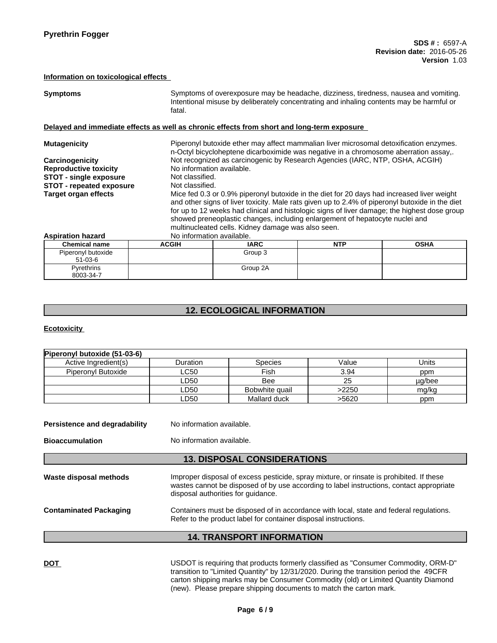### **Information on toxicological effects**

| <b>Symptoms</b>                                                                            | fatal.                    | Symptoms of overexposure may be headache, dizziness, tiredness, nausea and vomiting.<br>Intentional misuse by deliberately concentrating and inhaling contents may be harmful or                                                                                                                                                                                                                                                    |            |             |  |
|--------------------------------------------------------------------------------------------|---------------------------|-------------------------------------------------------------------------------------------------------------------------------------------------------------------------------------------------------------------------------------------------------------------------------------------------------------------------------------------------------------------------------------------------------------------------------------|------------|-------------|--|
| Delayed and immediate effects as well as chronic effects from short and long-term exposure |                           |                                                                                                                                                                                                                                                                                                                                                                                                                                     |            |             |  |
| <b>Mutagenicity</b>                                                                        |                           | Piperonyl butoxide ether may affect mammalian liver microsomal detoxification enzymes.<br>n-Octyl bicycloheptene dicarboximide was negative in a chromosome aberration assay,.                                                                                                                                                                                                                                                      |            |             |  |
| Carcinogenicity                                                                            |                           | Not recognized as carcinogenic by Research Agencies (IARC, NTP, OSHA, ACGIH)                                                                                                                                                                                                                                                                                                                                                        |            |             |  |
| <b>Reproductive toxicity</b>                                                               |                           | No information available.                                                                                                                                                                                                                                                                                                                                                                                                           |            |             |  |
| <b>STOT - single exposure</b>                                                              |                           | Not classified.                                                                                                                                                                                                                                                                                                                                                                                                                     |            |             |  |
| <b>STOT - repeated exposure</b>                                                            |                           | Not classified.                                                                                                                                                                                                                                                                                                                                                                                                                     |            |             |  |
| <b>Target organ effects</b>                                                                |                           | Mice fed 0.3 or 0.9% piperonyl butoxide in the diet for 20 days had increased liver weight<br>and other signs of liver toxicity. Male rats given up to 2.4% of piperonyl butoxide in the diet<br>for up to 12 weeks had clinical and histologic signs of liver damage; the highest dose group<br>showed preneoplastic changes, including enlargement of hepatocyte nuclei and<br>multinucleated cells. Kidney damage was also seen. |            |             |  |
| <b>Aspiration hazard</b>                                                                   | No information available. |                                                                                                                                                                                                                                                                                                                                                                                                                                     |            |             |  |
| <b>Chemical name</b>                                                                       | <b>ACGIH</b>              | <b>IARC</b>                                                                                                                                                                                                                                                                                                                                                                                                                         | <b>NTP</b> | <b>OSHA</b> |  |
| Piperonyl butoxide<br>$51-03-6$                                                            |                           | Group 3                                                                                                                                                                                                                                                                                                                                                                                                                             |            |             |  |
| Pyrethrins<br>8003-34-7                                                                    |                           | Group 2A                                                                                                                                                                                                                                                                                                                                                                                                                            |            |             |  |

# **12. ECOLOGICAL INFORMATION**

## **Ecotoxicity**

| Piperonyl butoxide (51-03-6)                                                                                                                                                                |                                    |                                                                                                                                                                                      |       |        |  |
|---------------------------------------------------------------------------------------------------------------------------------------------------------------------------------------------|------------------------------------|--------------------------------------------------------------------------------------------------------------------------------------------------------------------------------------|-------|--------|--|
| Active Ingredient(s)                                                                                                                                                                        | Duration                           | <b>Species</b>                                                                                                                                                                       | Value | Units  |  |
| Piperonyl Butoxide                                                                                                                                                                          | LC50.                              | Fish                                                                                                                                                                                 | 3.94  | ppm    |  |
|                                                                                                                                                                                             | LD50                               | Bee                                                                                                                                                                                  | 25    | µg/bee |  |
|                                                                                                                                                                                             | LD50                               | Bobwhite quail                                                                                                                                                                       | >2250 | mg/kg  |  |
|                                                                                                                                                                                             | LD50                               | Mallard duck                                                                                                                                                                         | >5620 | ppm    |  |
| Persistence and degradability                                                                                                                                                               | No information available.          |                                                                                                                                                                                      |       |        |  |
| <b>Bioaccumulation</b><br>No information available.                                                                                                                                         |                                    |                                                                                                                                                                                      |       |        |  |
|                                                                                                                                                                                             |                                    | <b>13. DISPOSAL CONSIDERATIONS</b>                                                                                                                                                   |       |        |  |
| Waste disposal methods                                                                                                                                                                      | disposal authorities for quidance. | Improper disposal of excess pesticide, spray mixture, or rinsate is prohibited. If these<br>wastes cannot be disposed of by use according to label instructions, contact appropriate |       |        |  |
| <b>Contaminated Packaging</b><br>Containers must be disposed of in accordance with local, state and federal regulations.<br>Refer to the product label for container disposal instructions. |                                    |                                                                                                                                                                                      |       |        |  |
|                                                                                                                                                                                             |                                    | <b>14. TRANSPORT INFORMATION</b>                                                                                                                                                     |       |        |  |
|                                                                                                                                                                                             |                                    |                                                                                                                                                                                      |       |        |  |

DOT **DOT USDOT** is requiring that products formerly classified as "Consumer Commodity, ORM-D" transition to "Limited Quantity" by 12/31/2020. During the transition period the 49CFR carton shipping marks may be Consumer Commodity (old) or Limited Quantity Diamond (new). Please prepare shipping documents to match the carton mark.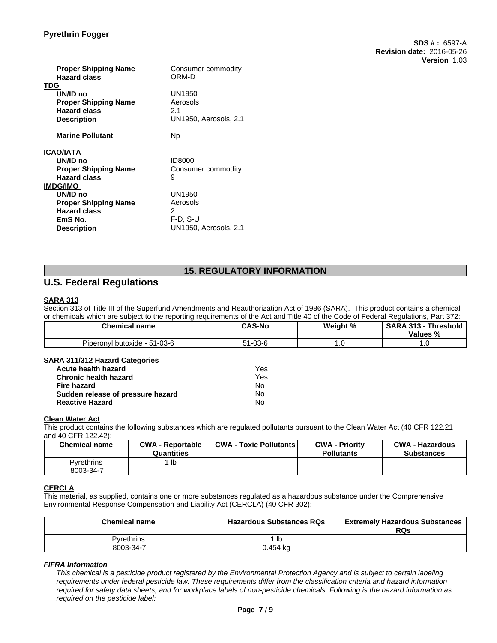## **Pyrethrin Fogger**

| <b>Proper Shipping Name</b><br><b>Hazard class</b><br>TDG                            | Consumer commodity<br>ORM-D                        |
|--------------------------------------------------------------------------------------|----------------------------------------------------|
| UN/ID no<br><b>Proper Shipping Name</b><br><b>Hazard class</b><br><b>Description</b> | UN1950<br>Aerosols<br>2.1<br>UN1950, Aerosols, 2.1 |
| <b>Marine Pollutant</b>                                                              | <b>Np</b>                                          |
| ICAO/IATA                                                                            |                                                    |
| UN/ID no                                                                             | <b>ID8000</b>                                      |
| <b>Proper Shipping Name</b>                                                          | Consumer commodity                                 |
| <b>Hazard class</b>                                                                  | 9                                                  |
| IMDG/IMO                                                                             |                                                    |
| UN/ID no                                                                             | UN1950                                             |
| <b>Proper Shipping Name</b>                                                          | Aerosols                                           |
| <b>Hazard class</b>                                                                  | 2                                                  |
| EmS No.<br><b>Description</b>                                                        | F-D. S-U<br>UN1950, Aerosols, 2.1                  |
|                                                                                      |                                                    |

# **15. REGULATORY INFORMATION**

**SDS # :** 6597-A

**Version** 1.03

**Revision date:** 2016-05-26

# **U.S. Federal Regulations**

## **SARA 313**

Section 313 of Title III of the Superfund Amendments and Reauthorization Act of 1986 (SARA). This product contains a chemical or chemicals which are subject to the reporting requirements of the Act and Title 40 of the Code of Federal Regulations, Part 372:

| <b>Chemical name</b>             | <b>CAS-No</b> | Weight % | <b>SARA 313</b><br><b>Threshold</b><br>Values % |
|----------------------------------|---------------|----------|-------------------------------------------------|
| $-51-03-6$<br>Piperonyl butoxide | 1-03-6        | . .      | $\cdot\cdot$                                    |

### **SARA 311/312 Hazard Categories**

| Acute health hazard               | Yes |
|-----------------------------------|-----|
| <b>Chronic health hazard</b>      | Yes |
| Fire hazard                       | No  |
| Sudden release of pressure hazard | No  |
| <b>Reactive Hazard</b>            | N٥  |

### **Clean Water Act**

This product contains the following substances which are regulated pollutants pursuant to the Clean Water Act (40 CFR 122.21 and 40 CFR 122.42):

| <b>Chemical name</b>    | <b>CWA - Reportable</b><br><b>Quantities</b> | <b>CWA - Toxic Pollutants</b> | <b>CWA - Priority</b><br><b>Pollutants</b> | <b>CWA - Hazardous</b><br><b>Substances</b> |
|-------------------------|----------------------------------------------|-------------------------------|--------------------------------------------|---------------------------------------------|
| Pvrethrins<br>8003-34-7 | lb                                           |                               |                                            |                                             |

### **CERCLA**

This material, as supplied, contains one or more substances regulated as a hazardous substance under the Comprehensive Environmental Response Compensation and Liability Act (CERCLA) (40 CFR 302):

| <b>Chemical name</b> | <b>Hazardous Substances RQs</b> | <b>Extremely Hazardous Substances</b><br>RQs |
|----------------------|---------------------------------|----------------------------------------------|
| Pyrethrins           | lb                              |                                              |
| 8003-34-7            | J.454 ka                        |                                              |

*FIFRA Information*

This chemical is a pesticide product registered by the Environmental Protection Agency and is subject to certain labeling requirements under federal pesticide law. These requirements differ from the classification criteria and hazard information required for safety data sheets, and for workplace labels of non-pesticide chemicals. Following is the hazard information as *required on the pesticide label:*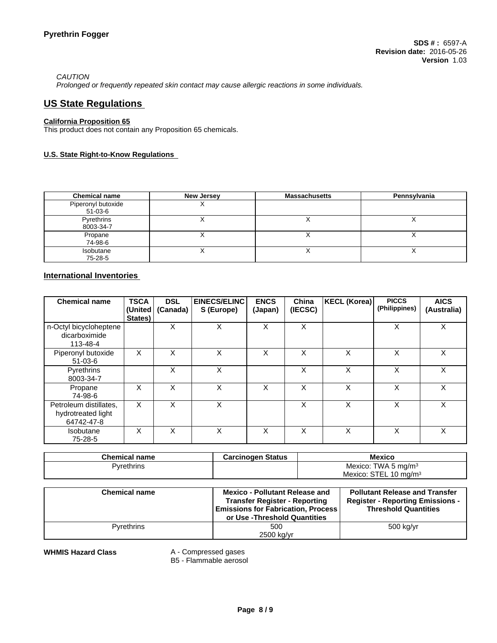## *CAUTION*

*Prolonged or frequently repeated skin contact may cause allergic reactions in some individuals.*

# **US State Regulations**

### **California Proposition 65**

This product does not contain any Proposition 65 chemicals.

## **U.S. State Right-to-Know Regulations**

| <b>Chemical name</b>          | New Jersey | <b>Massachusetts</b> | Pennsylvania |
|-------------------------------|------------|----------------------|--------------|
| Piperonyl butoxide<br>51-03-6 |            |                      |              |
| Pyrethrins<br>8003-34-7       |            |                      |              |
| Propane<br>74-98-6            |            |                      |              |
| Isobutane<br>75-28-5          |            |                      | $\lambda$    |

## **International Inventories**

| <b>Chemical name</b>                                       | <b>TSCA</b><br>(United<br>States) | <b>DSL</b><br>(Canada) | <b>EINECS/ELINC</b><br>S (Europe) | <b>ENCS</b><br>(Japan) | China<br>(IECSC) | KECL (Korea) | <b>PICCS</b><br>(Philippines) | <b>AICS</b><br>(Australia) |
|------------------------------------------------------------|-----------------------------------|------------------------|-----------------------------------|------------------------|------------------|--------------|-------------------------------|----------------------------|
| n-Octyl bicycloheptene<br>dicarboximide<br>113-48-4        |                                   | X                      | X                                 | X                      | X                |              | X                             | X                          |
| Piperonyl butoxide<br>$51-03-6$                            | X                                 | Х                      | X                                 | X                      | X                | X            | X                             | X.                         |
| Pyrethrins<br>8003-34-7                                    |                                   | X                      | X                                 |                        | X                | X            | X                             | X                          |
| Propane<br>74-98-6                                         | X                                 | X                      | X                                 | X                      | X                | X            | X                             | X                          |
| Petroleum distillates,<br>hydrotreated light<br>64742-47-8 | X                                 | X                      | X                                 |                        | X                | X            | X                             | X                          |
| Isobutane<br>75-28-5                                       | X                                 | X                      | X                                 | X                      | X                | X            | X                             | X                          |

| <b>Chemical name</b> | <b>Carcinogen Status</b> | <b>Mexico</b>            |
|----------------------|--------------------------|--------------------------|
| Pvrethrins           |                          | Mexico: TWA 5 mg/m $3$   |
|                      |                          | Mexico: STEL 10 mg/m $3$ |

| <b>Chemical name</b> | <b>Mexico - Pollutant Release and</b><br><b>Transfer Register - Reporting</b><br><b>Emissions for Fabrication, Process</b><br>or Use -Threshold Quantities | <b>Pollutant Release and Transfer</b><br><b>Register - Reporting Emissions -</b><br><b>Threshold Quantities</b> |
|----------------------|------------------------------------------------------------------------------------------------------------------------------------------------------------|-----------------------------------------------------------------------------------------------------------------|
| Pyrethrins           | 500<br>2500 kg/yr                                                                                                                                          | 500 kg/yr                                                                                                       |

**WHMIS Hazard Class** A - Compressed gases

B5 - Flammable aerosol